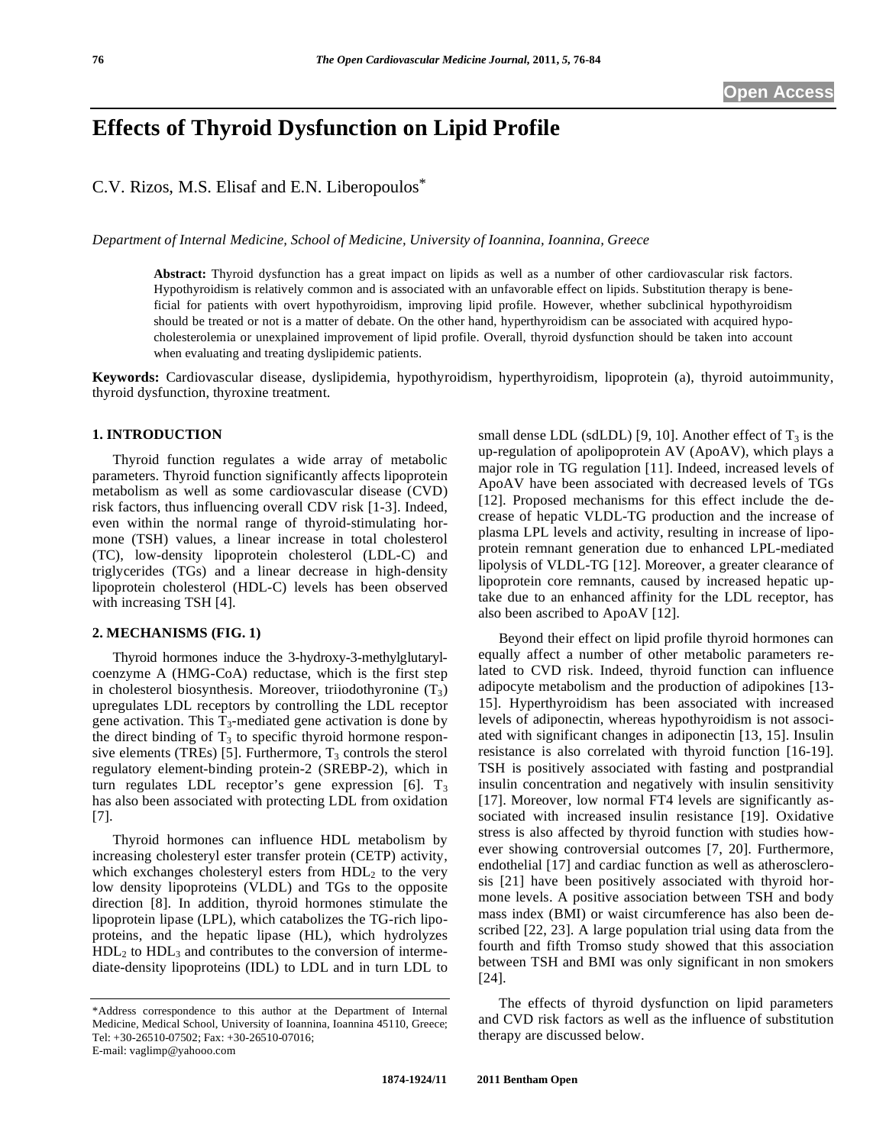# **Effects of Thyroid Dysfunction on Lipid Profile**

C.V. Rizos, M.S. Elisaf and E.N. Liberopoulos\*

*Department of Internal Medicine, School of Medicine, University of Ioannina, Ioannina, Greece* 

**Abstract:** Thyroid dysfunction has a great impact on lipids as well as a number of other cardiovascular risk factors. Hypothyroidism is relatively common and is associated with an unfavorable effect on lipids. Substitution therapy is beneficial for patients with overt hypothyroidism, improving lipid profile. However, whether subclinical hypothyroidism should be treated or not is a matter of debate. On the other hand, hyperthyroidism can be associated with acquired hypocholesterolemia or unexplained improvement of lipid profile. Overall, thyroid dysfunction should be taken into account when evaluating and treating dyslipidemic patients.

**Keywords:** Cardiovascular disease, dyslipidemia, hypothyroidism, hyperthyroidism, lipoprotein (a), thyroid autoimmunity, thyroid dysfunction, thyroxine treatment.

#### **1. INTRODUCTION**

 Thyroid function regulates a wide array of metabolic parameters. Thyroid function significantly affects lipoprotein metabolism as well as some cardiovascular disease (CVD) risk factors, thus influencing overall CDV risk [1-3]. Indeed, even within the normal range of thyroid-stimulating hormone (TSH) values, a linear increase in total cholesterol (TC), low-density lipoprotein cholesterol (LDL-C) and triglycerides (TGs) and a linear decrease in high-density lipoprotein cholesterol (HDL-C) levels has been observed with increasing TSH [4].

#### **2. MECHANISMS (FIG. 1)**

 Thyroid hormones induce the 3-hydroxy-3-methylglutarylcoenzyme A (HMG-CoA) reductase, which is the first step in cholesterol biosynthesis. Moreover, triiodothyronine  $(T_3)$ upregulates LDL receptors by controlling the LDL receptor gene activation. This  $T_3$ -mediated gene activation is done by the direct binding of  $T_3$  to specific thyroid hormone responsive elements (TREs) [5]. Furthermore,  $T_3$  controls the sterol regulatory element-binding protein-2 (SREBP-2), which in turn regulates LDL receptor's gene expression  $[6]$ . T<sub>3</sub> has also been associated with protecting LDL from oxidation [7].

 Thyroid hormones can influence HDL metabolism by increasing cholesteryl ester transfer protein (CETP) activity, which exchanges cholesteryl esters from  $HDL<sub>2</sub>$  to the very low density lipoproteins (VLDL) and TGs to the opposite direction [8]. In addition, thyroid hormones stimulate the lipoprotein lipase (LPL), which catabolizes the TG-rich lipoproteins, and the hepatic lipase (HL), which hydrolyzes  $HDL<sub>2</sub>$  to  $HDL<sub>3</sub>$  and contributes to the conversion of intermediate-density lipoproteins (IDL) to LDL and in turn LDL to small dense LDL (sdLDL) [9, 10]. Another effect of  $T_3$  is the up-regulation of apolipoprotein AV (ApoAV), which plays a major role in TG regulation [11]. Indeed, increased levels of ApoAV have been associated with decreased levels of TGs [12]. Proposed mechanisms for this effect include the decrease of hepatic VLDL-TG production and the increase of plasma LPL levels and activity, resulting in increase of lipoprotein remnant generation due to enhanced LPL-mediated lipolysis of VLDL-TG [12]. Moreover, a greater clearance of lipoprotein core remnants, caused by increased hepatic uptake due to an enhanced affinity for the LDL receptor, has also been ascribed to ApoAV [12].

 Beyond their effect on lipid profile thyroid hormones can equally affect a number of other metabolic parameters related to CVD risk. Indeed, thyroid function can influence adipocyte metabolism and the production of adipokines [13- 15]. Hyperthyroidism has been associated with increased levels of adiponectin, whereas hypothyroidism is not associated with significant changes in adiponectin [13, 15]. Insulin resistance is also correlated with thyroid function [16-19]. TSH is positively associated with fasting and postprandial insulin concentration and negatively with insulin sensitivity [17]. Moreover, low normal FT4 levels are significantly associated with increased insulin resistance [19]. Oxidative stress is also affected by thyroid function with studies however showing controversial outcomes [7, 20]. Furthermore, endothelial [17] and cardiac function as well as atherosclerosis [21] have been positively associated with thyroid hormone levels. A positive association between TSH and body mass index (BMI) or waist circumference has also been described [22, 23]. A large population trial using data from the fourth and fifth Tromso study showed that this association between TSH and BMI was only significant in non smokers [24].

 The effects of thyroid dysfunction on lipid parameters and CVD risk factors as well as the influence of substitution therapy are discussed below.

<sup>\*</sup>Address correspondence to this author at the Department of Internal Medicine, Medical School, University of Ioannina, Ioannina 45110, Greece; Tel: +30-26510-07502; Fax: +30-26510-07016; E-mail: vaglimp@yahooo.com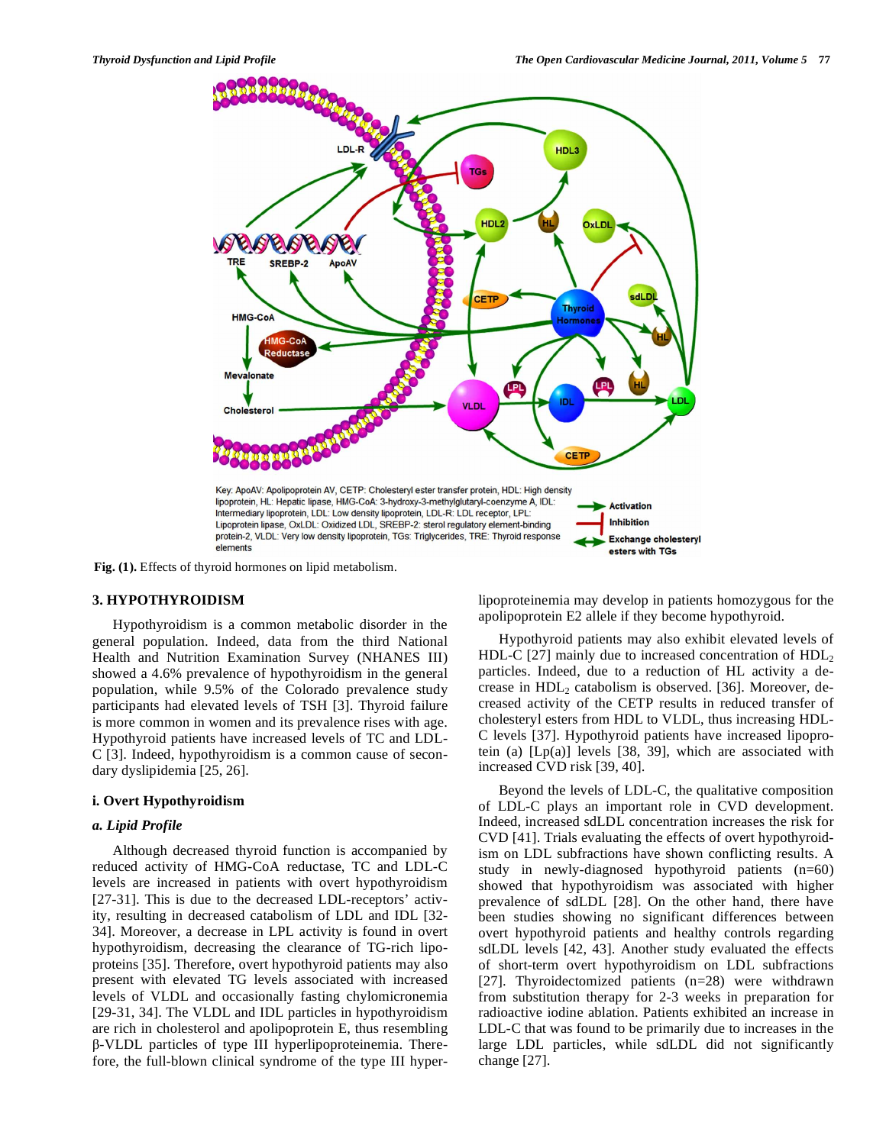

**Fig. (1).** Effects of thyroid hormones on lipid metabolism.

# **3. HYPOTHYROIDISM**

 Hypothyroidism is a common metabolic disorder in the general population. Indeed, data from the third National Health and Nutrition Examination Survey (NHANES III) showed a 4.6% prevalence of hypothyroidism in the general population, while 9.5% of the Colorado prevalence study participants had elevated levels of TSH [3]. Thyroid failure is more common in women and its prevalence rises with age. Hypothyroid patients have increased levels of TC and LDL-C [3]. Indeed, hypothyroidism is a common cause of secondary dyslipidemia [25, 26].

# **i. Overt Hypothyroidism**

## *a. Lipid Profile*

 Although decreased thyroid function is accompanied by reduced activity of HMG-CoA reductase, TC and LDL-C levels are increased in patients with overt hypothyroidism [27-31]. This is due to the decreased LDL-receptors' activity, resulting in decreased catabolism of LDL and IDL [32- 34]. Moreover, a decrease in LPL activity is found in overt hypothyroidism, decreasing the clearance of TG-rich lipoproteins [35]. Therefore, overt hypothyroid patients may also present with elevated TG levels associated with increased levels of VLDL and occasionally fasting chylomicronemia [29-31, 34]. The VLDL and IDL particles in hypothyroidism are rich in cholesterol and apolipoprotein E, thus resembling -VLDL particles of type III hyperlipoproteinemia. Therefore, the full-blown clinical syndrome of the type III hyperlipoproteinemia may develop in patients homozygous for the apolipoprotein E2 allele if they become hypothyroid.

 Hypothyroid patients may also exhibit elevated levels of HDL-C [27] mainly due to increased concentration of  $HDL<sub>2</sub>$ particles. Indeed, due to a reduction of HL activity a decrease in  $HDL<sub>2</sub>$  catabolism is observed. [36]. Moreover, decreased activity of the CETP results in reduced transfer of cholesteryl esters from HDL to VLDL, thus increasing HDL-C levels [37]. Hypothyroid patients have increased lipoprotein (a) [Lp(a)] levels [38, 39], which are associated with increased CVD risk [39, 40].

 Beyond the levels of LDL-C, the qualitative composition of LDL-C plays an important role in CVD development. Indeed, increased sdLDL concentration increases the risk for CVD [41]. Trials evaluating the effects of overt hypothyroidism on LDL subfractions have shown conflicting results. A study in newly-diagnosed hypothyroid patients  $(n=60)$ showed that hypothyroidism was associated with higher prevalence of sdLDL [28]. On the other hand, there have been studies showing no significant differences between overt hypothyroid patients and healthy controls regarding sdLDL levels [42, 43]. Another study evaluated the effects of short-term overt hypothyroidism on LDL subfractions [27]. Thyroidectomized patients (n=28) were withdrawn from substitution therapy for 2-3 weeks in preparation for radioactive iodine ablation. Patients exhibited an increase in LDL-C that was found to be primarily due to increases in the large LDL particles, while sdLDL did not significantly change [27].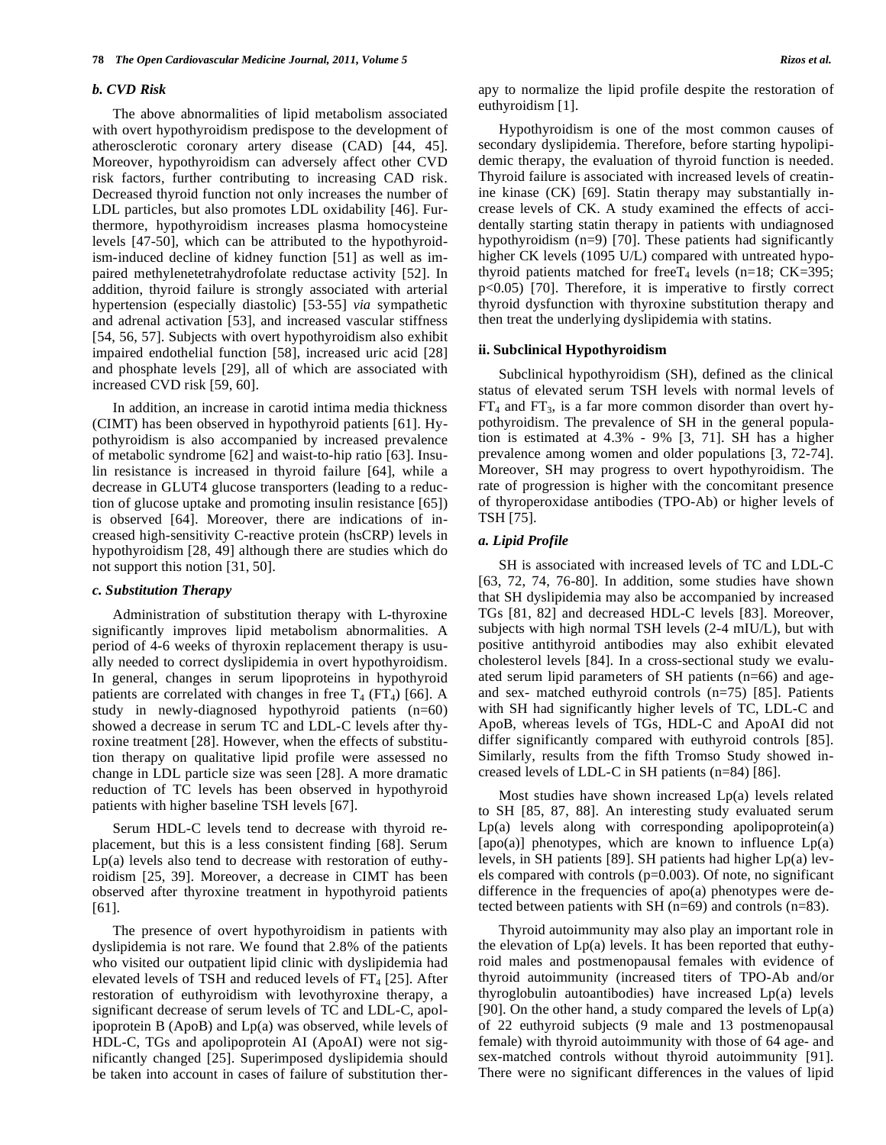#### *b. CVD Risk*

 The above abnormalities of lipid metabolism associated with overt hypothyroidism predispose to the development of atherosclerotic coronary artery disease (CAD) [44, 45]. Moreover, hypothyroidism can adversely affect other CVD risk factors, further contributing to increasing CAD risk. Decreased thyroid function not only increases the number of LDL particles, but also promotes LDL oxidability [46]. Furthermore, hypothyroidism increases plasma homocysteine levels [47-50], which can be attributed to the hypothyroidism-induced decline of kidney function [51] as well as impaired methylenetetrahydrofolate reductase activity [52]. In addition, thyroid failure is strongly associated with arterial hypertension (especially diastolic) [53-55] *via* sympathetic and adrenal activation [53], and increased vascular stiffness [54, 56, 57]. Subjects with overt hypothyroidism also exhibit impaired endothelial function [58], increased uric acid [28] and phosphate levels [29], all of which are associated with increased CVD risk [59, 60].

 In addition, an increase in carotid intima media thickness (CIMT) has been observed in hypothyroid patients [61]. Hypothyroidism is also accompanied by increased prevalence of metabolic syndrome [62] and waist-to-hip ratio [63]. Insulin resistance is increased in thyroid failure [64], while a decrease in GLUT4 glucose transporters (leading to a reduction of glucose uptake and promoting insulin resistance [65]) is observed [64]. Moreover, there are indications of increased high-sensitivity C-reactive protein (hsCRP) levels in hypothyroidism [28, 49] although there are studies which do not support this notion [31, 50].

#### *c. Substitution Therapy*

 Administration of substitution therapy with L-thyroxine significantly improves lipid metabolism abnormalities. A period of 4-6 weeks of thyroxin replacement therapy is usually needed to correct dyslipidemia in overt hypothyroidism. In general, changes in serum lipoproteins in hypothyroid patients are correlated with changes in free  $T_4$  (FT<sub>4</sub>) [66]. A study in newly-diagnosed hypothyroid patients (n=60) showed a decrease in serum TC and LDL-C levels after thyroxine treatment [28]. However, when the effects of substitution therapy on qualitative lipid profile were assessed no change in LDL particle size was seen [28]. A more dramatic reduction of TC levels has been observed in hypothyroid patients with higher baseline TSH levels [67].

 Serum HDL-C levels tend to decrease with thyroid replacement, but this is a less consistent finding [68]. Serum Lp(a) levels also tend to decrease with restoration of euthyroidism [25, 39]. Moreover, a decrease in CIMT has been observed after thyroxine treatment in hypothyroid patients [61].

 The presence of overt hypothyroidism in patients with dyslipidemia is not rare. We found that 2.8% of the patients who visited our outpatient lipid clinic with dyslipidemia had elevated levels of TSH and reduced levels of  $FT<sub>4</sub>$  [25]. After restoration of euthyroidism with levothyroxine therapy, a significant decrease of serum levels of TC and LDL-C, apolipoprotein B (ApoB) and Lp(a) was observed, while levels of HDL-C, TGs and apolipoprotein AI (ApoAI) were not significantly changed [25]. Superimposed dyslipidemia should be taken into account in cases of failure of substitution therapy to normalize the lipid profile despite the restoration of euthyroidism [1].

 Hypothyroidism is one of the most common causes of secondary dyslipidemia. Therefore, before starting hypolipidemic therapy, the evaluation of thyroid function is needed. Thyroid failure is associated with increased levels of creatinine kinase (CK) [69]. Statin therapy may substantially increase levels of CK. A study examined the effects of accidentally starting statin therapy in patients with undiagnosed hypothyroidism (n=9) [70]. These patients had significantly higher CK levels (1095 U/L) compared with untreated hypothyroid patients matched for free  $T_4$  levels (n=18; CK=395; p<0.05) [70]. Therefore, it is imperative to firstly correct thyroid dysfunction with thyroxine substitution therapy and then treat the underlying dyslipidemia with statins.

#### **ii. Subclinical Hypothyroidism**

 Subclinical hypothyroidism (SH), defined as the clinical status of elevated serum TSH levels with normal levels of  $FT_4$  and  $FT_3$ , is a far more common disorder than overt hypothyroidism. The prevalence of SH in the general population is estimated at 4.3% - 9% [3, 71]. SH has a higher prevalence among women and older populations [3, 72-74]. Moreover, SH may progress to overt hypothyroidism. The rate of progression is higher with the concomitant presence of thyroperoxidase antibodies (TPO-Ab) or higher levels of TSH [75].

# *a. Lipid Profile*

 SH is associated with increased levels of TC and LDL-C [63, 72, 74, 76-80]. In addition, some studies have shown that SH dyslipidemia may also be accompanied by increased TGs [81, 82] and decreased HDL-C levels [83]. Moreover, subjects with high normal TSH levels (2-4 mIU/L), but with positive antithyroid antibodies may also exhibit elevated cholesterol levels [84]. In a cross-sectional study we evaluated serum lipid parameters of SH patients (n=66) and ageand sex- matched euthyroid controls (n=75) [85]. Patients with SH had significantly higher levels of TC, LDL-C and ApoB, whereas levels of TGs, HDL-C and ApoAI did not differ significantly compared with euthyroid controls [85]. Similarly, results from the fifth Tromso Study showed increased levels of LDL-C in SH patients (n=84) [86].

 Most studies have shown increased Lp(a) levels related to SH [85, 87, 88]. An interesting study evaluated serum Lp(a) levels along with corresponding apolipoprotein(a) [apo(a)] phenotypes, which are known to influence  $Lp(a)$ levels, in SH patients [89]. SH patients had higher Lp(a) levels compared with controls (p=0.003). Of note, no significant difference in the frequencies of apo(a) phenotypes were detected between patients with SH (n=69) and controls (n=83).

 Thyroid autoimmunity may also play an important role in the elevation of Lp(a) levels. It has been reported that euthyroid males and postmenopausal females with evidence of thyroid autoimmunity (increased titers of TPO-Ab and/or thyroglobulin autoantibodies) have increased Lp(a) levels [90]. On the other hand, a study compared the levels of  $Lp(a)$ of 22 euthyroid subjects (9 male and 13 postmenopausal female) with thyroid autoimmunity with those of 64 age- and sex-matched controls without thyroid autoimmunity [91]. There were no significant differences in the values of lipid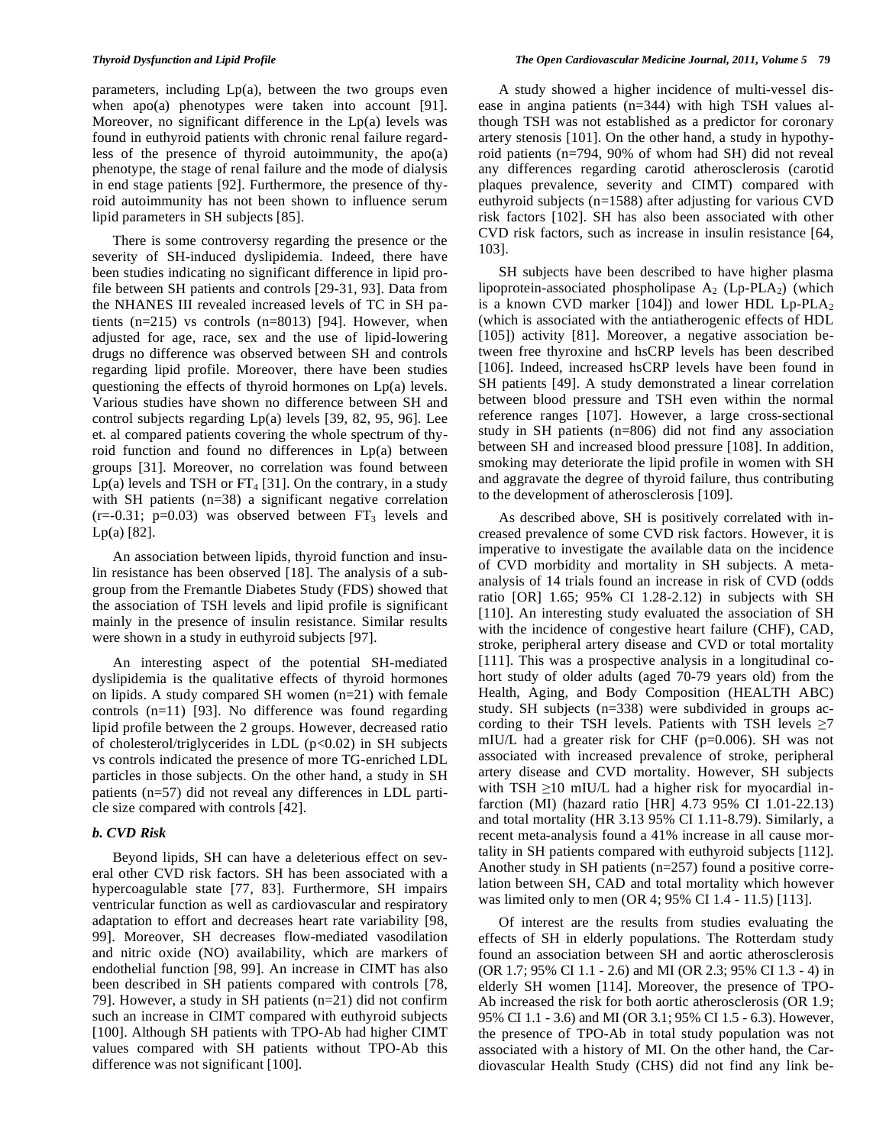parameters, including  $Lp(a)$ , between the two groups even when apo(a) phenotypes were taken into account [91]. Moreover, no significant difference in the Lp(a) levels was found in euthyroid patients with chronic renal failure regardless of the presence of thyroid autoimmunity, the apo(a) phenotype, the stage of renal failure and the mode of dialysis in end stage patients [92]. Furthermore, the presence of thyroid autoimmunity has not been shown to influence serum lipid parameters in SH subjects [85].

 There is some controversy regarding the presence or the severity of SH-induced dyslipidemia. Indeed, there have been studies indicating no significant difference in lipid profile between SH patients and controls [29-31, 93]. Data from the NHANES III revealed increased levels of TC in SH patients (n=215) vs controls (n=8013) [94]. However, when adjusted for age, race, sex and the use of lipid-lowering drugs no difference was observed between SH and controls regarding lipid profile. Moreover, there have been studies questioning the effects of thyroid hormones on Lp(a) levels. Various studies have shown no difference between SH and control subjects regarding Lp(a) levels [39, 82, 95, 96]. Lee et. al compared patients covering the whole spectrum of thyroid function and found no differences in Lp(a) between groups [31]. Moreover, no correlation was found between Lp(a) levels and TSH or  $FT_4$  [31]. On the contrary, in a study with SH patients (n=38) a significant negative correlation  $(r=-0.31; p=0.03)$  was observed between  $FT<sub>3</sub>$  levels and Lp(a) [82].

 An association between lipids, thyroid function and insulin resistance has been observed [18]. The analysis of a subgroup from the Fremantle Diabetes Study (FDS) showed that the association of TSH levels and lipid profile is significant mainly in the presence of insulin resistance. Similar results were shown in a study in euthyroid subjects [97].

 An interesting aspect of the potential SH-mediated dyslipidemia is the qualitative effects of thyroid hormones on lipids. A study compared SH women (n=21) with female controls (n=11) [93]. No difference was found regarding lipid profile between the 2 groups. However, decreased ratio of cholesterol/triglycerides in LDL  $(p<0.02)$  in SH subjects vs controls indicated the presence of more TG-enriched LDL particles in those subjects. On the other hand, a study in SH patients (n=57) did not reveal any differences in LDL particle size compared with controls [42].

# *b. CVD Risk*

 Beyond lipids, SH can have a deleterious effect on several other CVD risk factors. SH has been associated with a hypercoagulable state [77, 83]. Furthermore, SH impairs ventricular function as well as cardiovascular and respiratory adaptation to effort and decreases heart rate variability [98, 99]. Moreover, SH decreases flow-mediated vasodilation and nitric oxide (NO) availability, which are markers of endothelial function [98, 99]. An increase in CIMT has also been described in SH patients compared with controls [78, 79]. However, a study in SH patients (n=21) did not confirm such an increase in CIMT compared with euthyroid subjects [100]. Although SH patients with TPO-Ab had higher CIMT values compared with SH patients without TPO-Ab this difference was not significant [100].

 A study showed a higher incidence of multi-vessel disease in angina patients (n=344) with high TSH values although TSH was not established as a predictor for coronary artery stenosis [101]. On the other hand, a study in hypothyroid patients (n=794, 90% of whom had SH) did not reveal any differences regarding carotid atherosclerosis (carotid plaques prevalence, severity and CIMT) compared with euthyroid subjects (n=1588) after adjusting for various CVD risk factors [102]. SH has also been associated with other CVD risk factors, such as increase in insulin resistance [64, 103].

 SH subjects have been described to have higher plasma lipoprotein-associated phospholipase  $A_2$  (Lp-PLA<sub>2</sub>) (which is a known CVD marker  $[104]$  and lower HDL Lp-PLA<sub>2</sub> (which is associated with the antiatherogenic effects of HDL [105]) activity [81]. Moreover, a negative association between free thyroxine and hsCRP levels has been described [106]. Indeed, increased hsCRP levels have been found in SH patients [49]. A study demonstrated a linear correlation between blood pressure and TSH even within the normal reference ranges [107]. However, a large cross-sectional study in SH patients (n=806) did not find any association between SH and increased blood pressure [108]. In addition, smoking may deteriorate the lipid profile in women with SH and aggravate the degree of thyroid failure, thus contributing to the development of atherosclerosis [109].

 As described above, SH is positively correlated with increased prevalence of some CVD risk factors. However, it is imperative to investigate the available data on the incidence of CVD morbidity and mortality in SH subjects. A metaanalysis of 14 trials found an increase in risk of CVD (odds ratio [OR] 1.65; 95% CI 1.28-2.12) in subjects with SH [110]. An interesting study evaluated the association of SH with the incidence of congestive heart failure (CHF), CAD, stroke, peripheral artery disease and CVD or total mortality [111]. This was a prospective analysis in a longitudinal cohort study of older adults (aged 70-79 years old) from the Health, Aging, and Body Composition (HEALTH ABC) study. SH subjects (n=338) were subdivided in groups according to their TSH levels. Patients with TSH levels  $\geq 7$ mIU/L had a greater risk for CHF (p=0.006). SH was not associated with increased prevalence of stroke, peripheral artery disease and CVD mortality. However, SH subjects with TSH  $\geq$ 10 mIU/L had a higher risk for myocardial infarction (MI) (hazard ratio [HR] 4.73 95% CI 1.01-22.13) and total mortality (HR 3.13 95% CI 1.11-8.79). Similarly, a recent meta-analysis found a 41% increase in all cause mortality in SH patients compared with euthyroid subjects [112]. Another study in SH patients (n=257) found a positive correlation between SH, CAD and total mortality which however was limited only to men (OR 4; 95% CI 1.4 - 11.5) [113].

 Of interest are the results from studies evaluating the effects of SH in elderly populations. The Rotterdam study found an association between SH and aortic atherosclerosis (OR 1.7; 95% CI 1.1 - 2.6) and MI (OR 2.3; 95% CI 1.3 - 4) in elderly SH women [114]. Moreover, the presence of TPO-Ab increased the risk for both aortic atherosclerosis (OR 1.9; 95% CI 1.1 - 3.6) and MI (OR 3.1; 95% CI 1.5 - 6.3). However, the presence of TPO-Ab in total study population was not associated with a history of MI. On the other hand, the Cardiovascular Health Study (CHS) did not find any link be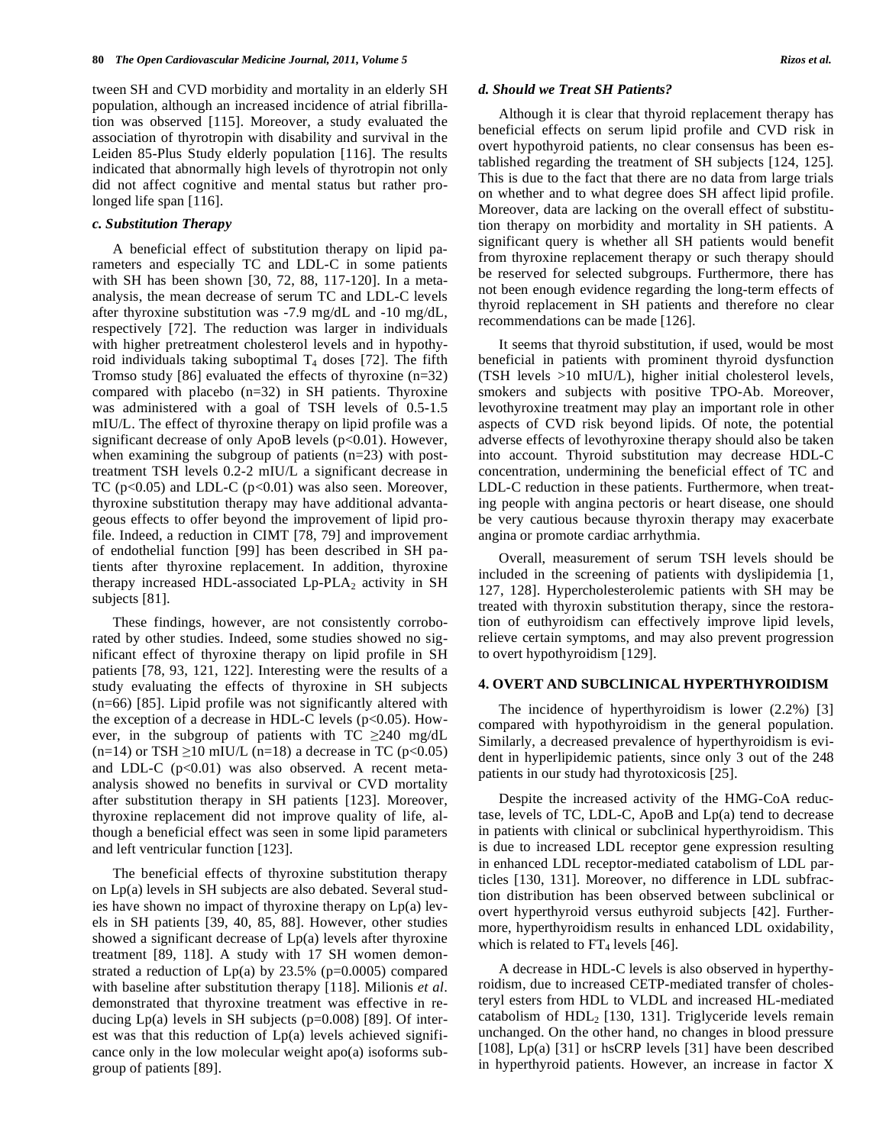tween SH and CVD morbidity and mortality in an elderly SH population, although an increased incidence of atrial fibrillation was observed [115]. Moreover, a study evaluated the association of thyrotropin with disability and survival in the Leiden 85-Plus Study elderly population [116]. The results indicated that abnormally high levels of thyrotropin not only did not affect cognitive and mental status but rather prolonged life span [116].

#### *c. Substitution Therapy*

 A beneficial effect of substitution therapy on lipid parameters and especially TC and LDL-C in some patients with SH has been shown [30, 72, 88, 117-120]. In a metaanalysis, the mean decrease of serum TC and LDL-C levels after thyroxine substitution was -7.9 mg/dL and -10 mg/dL, respectively [72]. The reduction was larger in individuals with higher pretreatment cholesterol levels and in hypothyroid individuals taking suboptimal  $T_4$  doses [72]. The fifth Tromso study [86] evaluated the effects of thyroxine (n=32) compared with placebo (n=32) in SH patients. Thyroxine was administered with a goal of TSH levels of 0.5-1.5 mIU/L. The effect of thyroxine therapy on lipid profile was a significant decrease of only ApoB levels  $(p<0.01)$ . However, when examining the subgroup of patients (n=23) with posttreatment TSH levels 0.2-2 mIU/L a significant decrease in TC ( $p<0.05$ ) and LDL-C ( $p<0.01$ ) was also seen. Moreover, thyroxine substitution therapy may have additional advantageous effects to offer beyond the improvement of lipid profile. Indeed, a reduction in CIMT [78, 79] and improvement of endothelial function [99] has been described in SH patients after thyroxine replacement. In addition, thyroxine therapy increased HDL-associated  $L_p$ -PLA<sub>2</sub> activity in SH subjects [81].

 These findings, however, are not consistently corroborated by other studies. Indeed, some studies showed no significant effect of thyroxine therapy on lipid profile in SH patients [78, 93, 121, 122]. Interesting were the results of a study evaluating the effects of thyroxine in SH subjects (n=66) [85]. Lipid profile was not significantly altered with the exception of a decrease in HDL-C levels  $(p<0.05)$ . However, in the subgroup of patients with  $TC \geq 240$  mg/dL  $(n=14)$  or TSH  $\geq 10$  mIU/L (n=18) a decrease in TC (p<0.05) and LDL-C  $(p<0.01)$  was also observed. A recent metaanalysis showed no benefits in survival or CVD mortality after substitution therapy in SH patients [123]. Moreover, thyroxine replacement did not improve quality of life, although a beneficial effect was seen in some lipid parameters and left ventricular function [123].

 The beneficial effects of thyroxine substitution therapy on Lp(a) levels in SH subjects are also debated. Several studies have shown no impact of thyroxine therapy on Lp(a) levels in SH patients [39, 40, 85, 88]. However, other studies showed a significant decrease of  $Lp(a)$  levels after thyroxine treatment [89, 118]. A study with 17 SH women demonstrated a reduction of  $Lp(a)$  by 23.5% ( $p=0.0005$ ) compared with baseline after substitution therapy [118]. Milionis *et al*. demonstrated that thyroxine treatment was effective in reducing  $Lp(a)$  levels in SH subjects ( $p=0.008$ ) [89]. Of interest was that this reduction of Lp(a) levels achieved significance only in the low molecular weight apo(a) isoforms subgroup of patients [89].

#### *d. Should we Treat SH Patients?*

 Although it is clear that thyroid replacement therapy has beneficial effects on serum lipid profile and CVD risk in overt hypothyroid patients, no clear consensus has been established regarding the treatment of SH subjects [124, 125]. This is due to the fact that there are no data from large trials on whether and to what degree does SH affect lipid profile. Moreover, data are lacking on the overall effect of substitution therapy on morbidity and mortality in SH patients. A significant query is whether all SH patients would benefit from thyroxine replacement therapy or such therapy should be reserved for selected subgroups. Furthermore, there has not been enough evidence regarding the long-term effects of thyroid replacement in SH patients and therefore no clear recommendations can be made [126].

 It seems that thyroid substitution, if used, would be most beneficial in patients with prominent thyroid dysfunction (TSH levels >10 mIU/L), higher initial cholesterol levels, smokers and subjects with positive TPO-Ab. Moreover, levothyroxine treatment may play an important role in other aspects of CVD risk beyond lipids. Of note, the potential adverse effects of levothyroxine therapy should also be taken into account. Thyroid substitution may decrease HDL-C concentration, undermining the beneficial effect of TC and LDL-C reduction in these patients. Furthermore, when treating people with angina pectoris or heart disease, one should be very cautious because thyroxin therapy may exacerbate angina or promote cardiac arrhythmia.

 Overall, measurement of serum TSH levels should be included in the screening of patients with dyslipidemia [1, 127, 128]. Hypercholesterolemic patients with SH may be treated with thyroxin substitution therapy, since the restoration of euthyroidism can effectively improve lipid levels, relieve certain symptoms, and may also prevent progression to overt hypothyroidism [129].

## **4. OVERT AND SUBCLINICAL HYPERTHYROIDISM**

 The incidence of hyperthyroidism is lower (2.2%) [3] compared with hypothyroidism in the general population. Similarly, a decreased prevalence of hyperthyroidism is evident in hyperlipidemic patients, since only 3 out of the 248 patients in our study had thyrotoxicosis [25].

 Despite the increased activity of the HMG-CoA reductase, levels of TC, LDL-C, ApoB and Lp(a) tend to decrease in patients with clinical or subclinical hyperthyroidism. This is due to increased LDL receptor gene expression resulting in enhanced LDL receptor-mediated catabolism of LDL particles [130, 131]. Moreover, no difference in LDL subfraction distribution has been observed between subclinical or overt hyperthyroid versus euthyroid subjects [42]. Furthermore, hyperthyroidism results in enhanced LDL oxidability, which is related to  $FT_4$  levels [46].

 A decrease in HDL-C levels is also observed in hyperthyroidism, due to increased CETP-mediated transfer of cholesteryl esters from HDL to VLDL and increased HL-mediated catabolism of  $HDL<sub>2</sub>$  [130, 131]. Triglyceride levels remain unchanged. On the other hand, no changes in blood pressure [108], Lp(a) [31] or hsCRP levels [31] have been described in hyperthyroid patients. However, an increase in factor X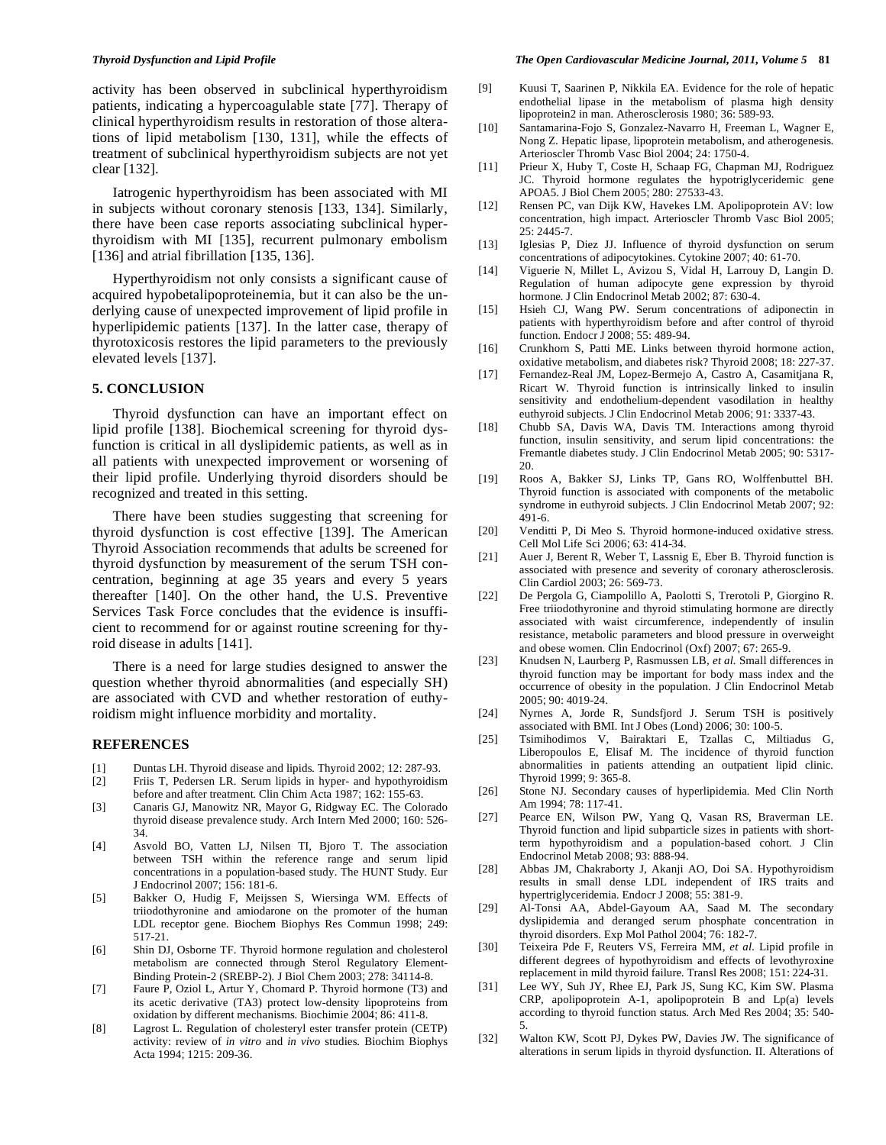activity has been observed in subclinical hyperthyroidism patients, indicating a hypercoagulable state [77]. Therapy of clinical hyperthyroidism results in restoration of those alterations of lipid metabolism [130, 131], while the effects of treatment of subclinical hyperthyroidism subjects are not yet clear [132].

 Iatrogenic hyperthyroidism has been associated with MI in subjects without coronary stenosis [133, 134]. Similarly, there have been case reports associating subclinical hyperthyroidism with MI [135], recurrent pulmonary embolism [136] and atrial fibrillation [135, 136].

 Hyperthyroidism not only consists a significant cause of acquired hypobetalipoproteinemia, but it can also be the underlying cause of unexpected improvement of lipid profile in hyperlipidemic patients [137]. In the latter case, therapy of thyrotoxicosis restores the lipid parameters to the previously elevated levels [137].

# **5. CONCLUSION**

 Thyroid dysfunction can have an important effect on lipid profile [138]. Biochemical screening for thyroid dysfunction is critical in all dyslipidemic patients, as well as in all patients with unexpected improvement or worsening of their lipid profile. Underlying thyroid disorders should be recognized and treated in this setting.

 There have been studies suggesting that screening for thyroid dysfunction is cost effective [139]. The American Thyroid Association recommends that adults be screened for thyroid dysfunction by measurement of the serum TSH concentration, beginning at age 35 years and every 5 years thereafter [140]. On the other hand, the U.S. Preventive Services Task Force concludes that the evidence is insufficient to recommend for or against routine screening for thyroid disease in adults [141].

 There is a need for large studies designed to answer the question whether thyroid abnormalities (and especially SH) are associated with CVD and whether restoration of euthyroidism might influence morbidity and mortality.

# **REFERENCES**

- [1] Duntas LH. Thyroid disease and lipids*.* Thyroid 2002; 12: 287-93.
- [2] Friis T, Pedersen LR. Serum lipids in hyper- and hypothyroidism before and after treatment*.* Clin Chim Acta 1987; 162: 155-63.
- [3] Canaris GJ, Manowitz NR, Mayor G, Ridgway EC. The Colorado thyroid disease prevalence study*.* Arch Intern Med 2000; 160: 526- 34.
- [4] Asvold BO, Vatten LJ, Nilsen TI, Bjoro T. The association between TSH within the reference range and serum lipid concentrations in a population-based study. The HUNT Study*.* Eur J Endocrinol 2007; 156: 181-6.
- [5] Bakker O, Hudig F, Meijssen S, Wiersinga WM. Effects of triiodothyronine and amiodarone on the promoter of the human LDL receptor gene*.* Biochem Biophys Res Commun 1998; 249: 517-21.
- [6] Shin DJ, Osborne TF. Thyroid hormone regulation and cholesterol metabolism are connected through Sterol Regulatory Element-Binding Protein-2 (SREBP-2)*.* J Biol Chem 2003; 278: 34114-8.
- [7] Faure P, Oziol L, Artur Y, Chomard P. Thyroid hormone (T3) and its acetic derivative (TA3) protect low-density lipoproteins from oxidation by different mechanisms*.* Biochimie 2004; 86: 411-8.
- [8] Lagrost L. Regulation of cholesteryl ester transfer protein (CETP) activity: review of *in vitro* and *in vivo* studies*.* Biochim Biophys Acta 1994; 1215: 209-36.
- [9] Kuusi T, Saarinen P, Nikkila EA. Evidence for the role of hepatic endothelial lipase in the metabolism of plasma high density lipoprotein2 in man*.* Atherosclerosis 1980; 36: 589-93.
- [10] Santamarina-Fojo S, Gonzalez-Navarro H, Freeman L, Wagner E, Nong Z. Hepatic lipase, lipoprotein metabolism, and atherogenesis*.* Arterioscler Thromb Vasc Biol 2004; 24: 1750-4.
- [11] Prieur X, Huby T, Coste H, Schaap FG, Chapman MJ, Rodriguez JC. Thyroid hormone regulates the hypotriglyceridemic gene APOA5*.* J Biol Chem 2005; 280: 27533-43.
- [12] Rensen PC, van Dijk KW, Havekes LM. Apolipoprotein AV: low concentration, high impact*.* Arterioscler Thromb Vasc Biol 2005; 25: 2445-7.
- [13] Iglesias P, Diez JJ. Influence of thyroid dysfunction on serum concentrations of adipocytokines*.* Cytokine 2007; 40: 61-70.
- [14] Viguerie N, Millet L, Avizou S, Vidal H, Larrouy D, Langin D. Regulation of human adipocyte gene expression by thyroid hormone*.* J Clin Endocrinol Metab 2002; 87: 630-4.
- [15] Hsieh CJ, Wang PW. Serum concentrations of adiponectin in patients with hyperthyroidism before and after control of thyroid function*.* Endocr J 2008; 55: 489-94.
- [16] Crunkhorn S, Patti ME. Links between thyroid hormone action, oxidative metabolism, and diabetes risk? Thyroid 2008; 18: 227-37.
- [17] Fernandez-Real JM, Lopez-Bermejo A, Castro A, Casamitjana R, Ricart W. Thyroid function is intrinsically linked to insulin sensitivity and endothelium-dependent vasodilation in healthy euthyroid subjects*.* J Clin Endocrinol Metab 2006; 91: 3337-43.
- [18] Chubb SA, Davis WA, Davis TM. Interactions among thyroid function, insulin sensitivity, and serum lipid concentrations: the Fremantle diabetes study*.* J Clin Endocrinol Metab 2005; 90: 5317- 20.
- [19] Roos A, Bakker SJ, Links TP, Gans RO, Wolffenbuttel BH. Thyroid function is associated with components of the metabolic syndrome in euthyroid subjects*.* J Clin Endocrinol Metab 2007; 92: 491-6.
- [20] Venditti P, Di Meo S. Thyroid hormone-induced oxidative stress*.* Cell Mol Life Sci 2006; 63: 414-34.
- [21] Auer J, Berent R, Weber T, Lassnig E, Eber B. Thyroid function is associated with presence and severity of coronary atherosclerosis*.* Clin Cardiol 2003; 26: 569-73.
- [22] De Pergola G, Ciampolillo A, Paolotti S, Trerotoli P, Giorgino R. Free triiodothyronine and thyroid stimulating hormone are directly associated with waist circumference, independently of insulin resistance, metabolic parameters and blood pressure in overweight and obese women*.* Clin Endocrinol (Oxf) 2007; 67: 265-9.
- [23] Knudsen N, Laurberg P, Rasmussen LB*, et al.* Small differences in thyroid function may be important for body mass index and the occurrence of obesity in the population*.* J Clin Endocrinol Metab 2005; 90: 4019-24.
- [24] Nyrnes A, Jorde R, Sundsfjord J. Serum TSH is positively associated with BMI*.* Int J Obes (Lond) 2006; 30: 100-5.
- [25] Tsimihodimos V, Bairaktari E, Tzallas C, Miltiadus G, Liberopoulos E, Elisaf M. The incidence of thyroid function abnormalities in patients attending an outpatient lipid clinic*.* Thyroid 1999; 9: 365-8.
- [26] Stone NJ. Secondary causes of hyperlipidemia*.* Med Clin North Am 1994; 78: 117-41.
- [27] Pearce EN, Wilson PW, Yang Q, Vasan RS, Braverman LE. Thyroid function and lipid subparticle sizes in patients with shortterm hypothyroidism and a population-based cohort*.* J Clin Endocrinol Metab 2008; 93: 888-94.
- [28] Abbas JM, Chakraborty J, Akanji AO, Doi SA. Hypothyroidism results in small dense LDL independent of IRS traits and hypertriglyceridemia*.* Endocr J 2008; 55: 381-9.
- [29] Al-Tonsi AA, Abdel-Gayoum AA, Saad M. The secondary dyslipidemia and deranged serum phosphate concentration in thyroid disorders*.* Exp Mol Pathol 2004; 76: 182-7.
- [30] Teixeira Pde F, Reuters VS, Ferreira MM*, et al.* Lipid profile in different degrees of hypothyroidism and effects of levothyroxine replacement in mild thyroid failure*.* Transl Res 2008; 151: 224-31.
- [31] Lee WY, Suh JY, Rhee EJ, Park JS, Sung KC, Kim SW. Plasma CRP, apolipoprotein A-1, apolipoprotein B and Lp(a) levels according to thyroid function status*.* Arch Med Res 2004; 35: 540- 5.
- [32] Walton KW, Scott PJ, Dykes PW, Davies JW. The significance of alterations in serum lipids in thyroid dysfunction. II. Alterations of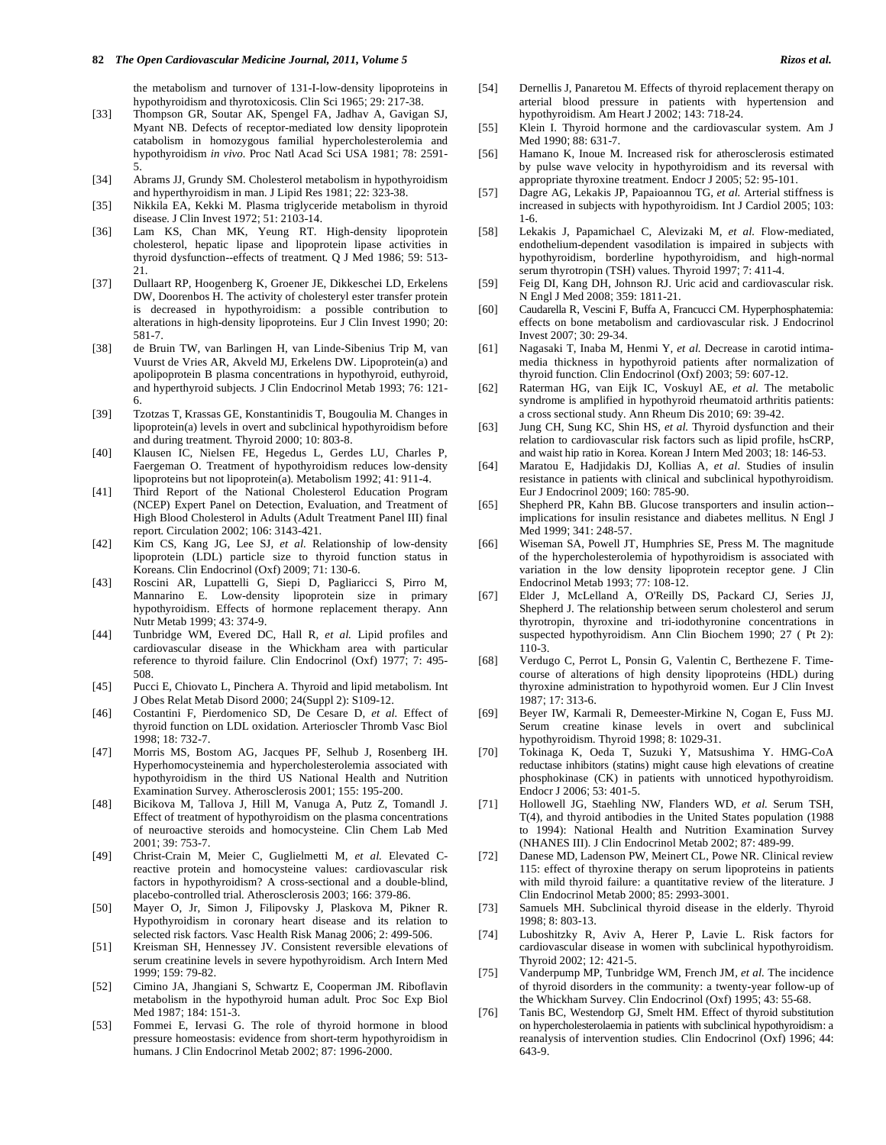#### **82** *The Open Cardiovascular Medicine Journal, 2011, Volume 5**Rizos et al.**Rizos et al.*

the metabolism and turnover of 131-I-low-density lipoproteins in hypothyroidism and thyrotoxicosis*.* Clin Sci 1965; 29: 217-38.

- [33] Thompson GR, Soutar AK, Spengel FA, Jadhav A, Gavigan SJ, Myant NB. Defects of receptor-mediated low density lipoprotein catabolism in homozygous familial hypercholesterolemia and hypothyroidism *in vivo.* Proc Natl Acad Sci USA 1981; 78: 2591- 5.
- [34] Abrams JJ, Grundy SM. Cholesterol metabolism in hypothyroidism and hyperthyroidism in man*.* J Lipid Res 1981; 22: 323-38.
- [35] Nikkila EA, Kekki M. Plasma triglyceride metabolism in thyroid disease*.* J Clin Invest 1972; 51: 2103-14.
- [36] Lam KS, Chan MK, Yeung RT. High-density lipoprotein cholesterol, hepatic lipase and lipoprotein lipase activities in thyroid dysfunction--effects of treatment*.* Q J Med 1986; 59: 513- 21.
- [37] Dullaart RP, Hoogenberg K, Groener JE, Dikkeschei LD, Erkelens DW, Doorenbos H. The activity of cholesteryl ester transfer protein is decreased in hypothyroidism: a possible contribution to alterations in high-density lipoproteins*.* Eur J Clin Invest 1990; 20: 581-7.
- [38] de Bruin TW, van Barlingen H, van Linde-Sibenius Trip M, van Vuurst de Vries AR, Akveld MJ, Erkelens DW. Lipoprotein(a) and apolipoprotein B plasma concentrations in hypothyroid, euthyroid, and hyperthyroid subjects*.* J Clin Endocrinol Metab 1993; 76: 121- 6.
- [39] Tzotzas T, Krassas GE, Konstantinidis T, Bougoulia M. Changes in lipoprotein(a) levels in overt and subclinical hypothyroidism before and during treatment*.* Thyroid 2000; 10: 803-8.
- [40] Klausen IC, Nielsen FE, Hegedus L, Gerdes LU, Charles P, Faergeman O. Treatment of hypothyroidism reduces low-density lipoproteins but not lipoprotein(a)*.* Metabolism 1992; 41: 911-4.
- [41] Third Report of the National Cholesterol Education Program (NCEP) Expert Panel on Detection, Evaluation, and Treatment of High Blood Cholesterol in Adults (Adult Treatment Panel III) final report*.* Circulation 2002; 106: 3143-421.
- [42] Kim CS, Kang JG, Lee SJ*, et al.* Relationship of low-density lipoprotein (LDL) particle size to thyroid function status in Koreans*.* Clin Endocrinol (Oxf) 2009; 71: 130-6.
- [43] Roscini AR, Lupattelli G, Siepi D, Pagliaricci S, Pirro M, Mannarino E. Low-density lipoprotein size in primary hypothyroidism. Effects of hormone replacement therapy*.* Ann Nutr Metab 1999; 43: 374-9.
- [44] Tunbridge WM, Evered DC, Hall R*, et al.* Lipid profiles and cardiovascular disease in the Whickham area with particular reference to thyroid failure*.* Clin Endocrinol (Oxf) 1977; 7: 495- 508.
- [45] Pucci E, Chiovato L, Pinchera A. Thyroid and lipid metabolism*.* Int J Obes Relat Metab Disord 2000; 24(Suppl 2): S109-12.
- [46] Costantini F, Pierdomenico SD, De Cesare D*, et al.* Effect of thyroid function on LDL oxidation*.* Arterioscler Thromb Vasc Biol 1998; 18: 732-7.
- [47] Morris MS, Bostom AG, Jacques PF, Selhub J, Rosenberg IH. Hyperhomocysteinemia and hypercholesterolemia associated with hypothyroidism in the third US National Health and Nutrition Examination Survey*.* Atherosclerosis 2001; 155: 195-200.
- [48] Bicikova M, Tallova J, Hill M, Vanuga A, Putz Z, Tomandl J. Effect of treatment of hypothyroidism on the plasma concentrations of neuroactive steroids and homocysteine*.* Clin Chem Lab Med 2001; 39: 753-7.
- [49] Christ-Crain M, Meier C, Guglielmetti M*, et al.* Elevated Creactive protein and homocysteine values: cardiovascular risk factors in hypothyroidism? A cross-sectional and a double-blind, placebo-controlled trial*.* Atherosclerosis 2003; 166: 379-86.
- [50] Mayer O, Jr, Simon J, Filipovsky J, Plaskova M, Pikner R. Hypothyroidism in coronary heart disease and its relation to selected risk factors*.* Vasc Health Risk Manag 2006; 2: 499-506.
- [51] Kreisman SH, Hennessey JV. Consistent reversible elevations of serum creatinine levels in severe hypothyroidism*.* Arch Intern Med 1999; 159: 79-82.
- [52] Cimino JA, Jhangiani S, Schwartz E, Cooperman JM. Riboflavin metabolism in the hypothyroid human adult*.* Proc Soc Exp Biol Med 1987; 184: 151-3.
- [53] Fommei E, Iervasi G. The role of thyroid hormone in blood pressure homeostasis: evidence from short-term hypothyroidism in humans*.* J Clin Endocrinol Metab 2002; 87: 1996-2000.
- [54] Dernellis J, Panaretou M. Effects of thyroid replacement therapy on arterial blood pressure in patients with hypertension and hypothyroidism*.* Am Heart J 2002; 143: 718-24.
- [55] Klein I. Thyroid hormone and the cardiovascular system*.* Am J Med 1990; 88: 631-7.
- [56] Hamano K, Inoue M. Increased risk for atherosclerosis estimated by pulse wave velocity in hypothyroidism and its reversal with appropriate thyroxine treatment*.* Endocr J 2005; 52: 95-101.
- [57] Dagre AG, Lekakis JP, Papaioannou TG*, et al.* Arterial stiffness is increased in subjects with hypothyroidism*.* Int J Cardiol 2005; 103: 1-6.
- [58] Lekakis J, Papamichael C, Alevizaki M*, et al.* Flow-mediated, endothelium-dependent vasodilation is impaired in subjects with hypothyroidism, borderline hypothyroidism, and high-normal serum thyrotropin (TSH) values*.* Thyroid 1997; 7: 411-4.
- [59] Feig DI, Kang DH, Johnson RJ. Uric acid and cardiovascular risk*.* N Engl J Med 2008; 359: 1811-21.
- [60] Caudarella R, Vescini F, Buffa A, Francucci CM. Hyperphosphatemia: effects on bone metabolism and cardiovascular risk*.* J Endocrinol Invest 2007; 30: 29-34.
- [61] Nagasaki T, Inaba M, Henmi Y*, et al.* Decrease in carotid intimamedia thickness in hypothyroid patients after normalization of thyroid function*.* Clin Endocrinol (Oxf) 2003; 59: 607-12.
- [62] Raterman HG, van Eijk IC, Voskuyl AE*, et al.* The metabolic syndrome is amplified in hypothyroid rheumatoid arthritis patients: a cross sectional study*.* Ann Rheum Dis 2010; 69: 39-42.
- [63] Jung CH, Sung KC, Shin HS*, et al.* Thyroid dysfunction and their relation to cardiovascular risk factors such as lipid profile, hsCRP, and waist hip ratio in Korea*.* Korean J Intern Med 2003; 18: 146-53.
- [64] Maratou E, Hadjidakis DJ, Kollias A*, et al.* Studies of insulin resistance in patients with clinical and subclinical hypothyroidism*.* Eur J Endocrinol 2009; 160: 785-90.
- [65] Shepherd PR, Kahn BB. Glucose transporters and insulin action- implications for insulin resistance and diabetes mellitus*.* N Engl J Med 1999; 341: 248-57.
- [66] Wiseman SA, Powell JT, Humphries SE, Press M. The magnitude of the hypercholesterolemia of hypothyroidism is associated with variation in the low density lipoprotein receptor gene*.* J Clin Endocrinol Metab 1993; 77: 108-12.
- [67] Elder J, McLelland A, O'Reilly DS, Packard CJ, Series JJ, Shepherd J. The relationship between serum cholesterol and serum thyrotropin, thyroxine and tri-iodothyronine concentrations in suspected hypothyroidism*.* Ann Clin Biochem 1990; 27 ( Pt 2): 110-3.
- [68] Verdugo C, Perrot L, Ponsin G, Valentin C, Berthezene F. Timecourse of alterations of high density lipoproteins (HDL) during thyroxine administration to hypothyroid women*.* Eur J Clin Invest 1987; 17: 313-6.
- [69] Beyer IW, Karmali R, Demeester-Mirkine N, Cogan E, Fuss MJ. Serum creatine kinase levels in overt and subclinical hypothyroidism*.* Thyroid 1998; 8: 1029-31.
- [70] Tokinaga K, Oeda T, Suzuki Y, Matsushima Y. HMG-CoA reductase inhibitors (statins) might cause high elevations of creatine phosphokinase (CK) in patients with unnoticed hypothyroidism*.* Endocr J 2006; 53: 401-5.
- [71] Hollowell JG, Staehling NW, Flanders WD*, et al.* Serum TSH, T(4), and thyroid antibodies in the United States population (1988 to 1994): National Health and Nutrition Examination Survey (NHANES III)*.* J Clin Endocrinol Metab 2002; 87: 489-99.
- [72] Danese MD, Ladenson PW, Meinert CL, Powe NR. Clinical review 115: effect of thyroxine therapy on serum lipoproteins in patients with mild thyroid failure: a quantitative review of the literature*.* J Clin Endocrinol Metab 2000; 85: 2993-3001.
- [73] Samuels MH. Subclinical thyroid disease in the elderly*.* Thyroid 1998; 8: 803-13.
- [74] Luboshitzky R, Aviv A, Herer P, Lavie L. Risk factors for cardiovascular disease in women with subclinical hypothyroidism*.* Thyroid 2002; 12: 421-5.
- [75] Vanderpump MP, Tunbridge WM, French JM*, et al.* The incidence of thyroid disorders in the community: a twenty-year follow-up of the Whickham Survey*.* Clin Endocrinol (Oxf) 1995; 43: 55-68.
- [76] Tanis BC, Westendorp GJ, Smelt HM. Effect of thyroid substitution on hypercholesterolaemia in patients with subclinical hypothyroidism: a reanalysis of intervention studies*.* Clin Endocrinol (Oxf) 1996; 44: 643-9.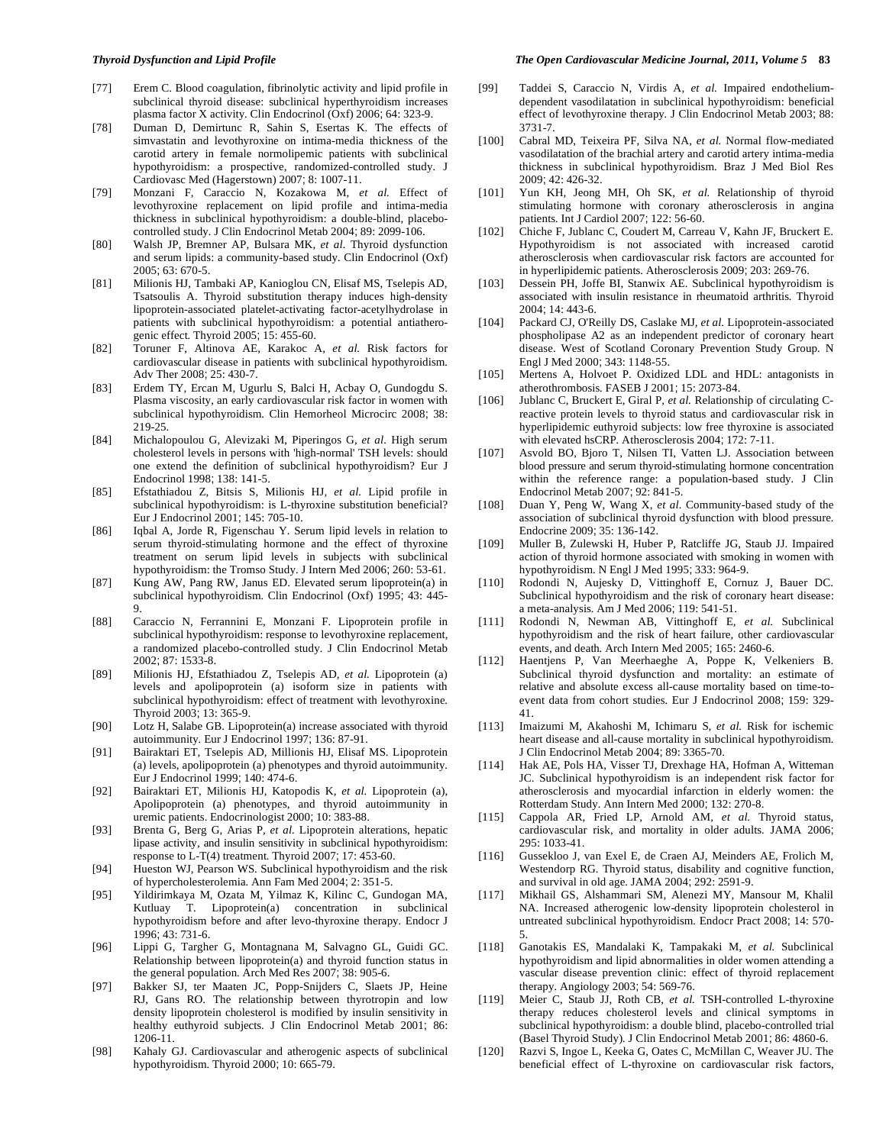- [77] Erem C. Blood coagulation, fibrinolytic activity and lipid profile in subclinical thyroid disease: subclinical hyperthyroidism increases plasma factor X activity*.* Clin Endocrinol (Oxf) 2006; 64: 323-9.
- [78] Duman D, Demirtunc R, Sahin S, Esertas K. The effects of simvastatin and levothyroxine on intima-media thickness of the carotid artery in female normolipemic patients with subclinical hypothyroidism: a prospective, randomized-controlled study*.* J Cardiovasc Med (Hagerstown) 2007; 8: 1007-11.
- [79] Monzani F, Caraccio N, Kozakowa M*, et al.* Effect of levothyroxine replacement on lipid profile and intima-media thickness in subclinical hypothyroidism: a double-blind, placebocontrolled study*.* J Clin Endocrinol Metab 2004; 89: 2099-106.
- [80] Walsh JP, Bremner AP, Bulsara MK*, et al.* Thyroid dysfunction and serum lipids: a community-based study*.* Clin Endocrinol (Oxf) 2005; 63: 670-5.
- [81] Milionis HJ, Tambaki AP, Kanioglou CN, Elisaf MS, Tselepis AD, Tsatsoulis A. Thyroid substitution therapy induces high-density lipoprotein-associated platelet-activating factor-acetylhydrolase in patients with subclinical hypothyroidism: a potential antiatherogenic effect*.* Thyroid 2005; 15: 455-60.
- [82] Toruner F, Altinova AE, Karakoc A*, et al.* Risk factors for cardiovascular disease in patients with subclinical hypothyroidism*.* Adv Ther 2008; 25: 430-7.
- [83] Erdem TY, Ercan M, Ugurlu S, Balci H, Acbay O, Gundogdu S. Plasma viscosity, an early cardiovascular risk factor in women with subclinical hypothyroidism*.* Clin Hemorheol Microcirc 2008; 38: 219-25.
- [84] Michalopoulou G, Alevizaki M, Piperingos G*, et al.* High serum cholesterol levels in persons with 'high-normal' TSH levels: should one extend the definition of subclinical hypothyroidism? Eur J Endocrinol 1998; 138: 141-5.
- [85] Efstathiadou Z, Bitsis S, Milionis HJ*, et al.* Lipid profile in subclinical hypothyroidism: is L-thyroxine substitution beneficial? Eur J Endocrinol 2001; 145: 705-10.
- [86] Iqbal A, Jorde R, Figenschau Y. Serum lipid levels in relation to serum thyroid-stimulating hormone and the effect of thyroxine treatment on serum lipid levels in subjects with subclinical hypothyroidism: the Tromso Study*.* J Intern Med 2006; 260: 53-61.
- [87] Kung AW, Pang RW, Janus ED. Elevated serum lipoprotein(a) in subclinical hypothyroidism*.* Clin Endocrinol (Oxf) 1995; 43: 445- 9.
- [88] Caraccio N, Ferrannini E, Monzani F. Lipoprotein profile in subclinical hypothyroidism: response to levothyroxine replacement, a randomized placebo-controlled study*.* J Clin Endocrinol Metab 2002; 87: 1533-8.
- [89] Milionis HJ, Efstathiadou Z, Tselepis AD*, et al.* Lipoprotein (a) levels and apolipoprotein (a) isoform size in patients with subclinical hypothyroidism: effect of treatment with levothyroxine*.* Thyroid 2003; 13: 365-9.
- [90] Lotz H, Salabe GB. Lipoprotein(a) increase associated with thyroid autoimmunity*.* Eur J Endocrinol 1997; 136: 87-91.
- [91] Bairaktari ET, Tselepis AD, Millionis HJ, Elisaf MS. Lipoprotein (a) levels, apolipoprotein (a) phenotypes and thyroid autoimmunity*.* Eur J Endocrinol 1999; 140: 474-6.
- [92] Bairaktari ET, Milionis HJ, Katopodis K*, et al.* Lipoprotein (a), Apolipoprotein (a) phenotypes, and thyroid autoimmunity in uremic patients. Endocrinologist 2000; 10: 383-88.
- [93] Brenta G, Berg G, Arias P*, et al.* Lipoprotein alterations, hepatic lipase activity, and insulin sensitivity in subclinical hypothyroidism: response to L-T(4) treatment*.* Thyroid 2007; 17: 453-60.
- [94] Hueston WJ, Pearson WS. Subclinical hypothyroidism and the risk of hypercholesterolemia*.* Ann Fam Med 2004; 2: 351-5.
- [95] Yildirimkaya M, Ozata M, Yilmaz K, Kilinc C, Gundogan MA, Kutluay T. Lipoprotein(a) concentration in subclinical hypothyroidism before and after levo-thyroxine therapy*.* Endocr J 1996; 43: 731-6.
- [96] Lippi G, Targher G, Montagnana M, Salvagno GL, Guidi GC. Relationship between lipoprotein(a) and thyroid function status in the general population*.* Arch Med Res 2007; 38: 905-6.
- [97] Bakker SJ, ter Maaten JC, Popp-Snijders C, Slaets JP, Heine RJ, Gans RO. The relationship between thyrotropin and low density lipoprotein cholesterol is modified by insulin sensitivity in healthy euthyroid subjects*.* J Clin Endocrinol Metab 2001; 86: 1206-11.
- [98] Kahaly GJ. Cardiovascular and atherogenic aspects of subclinical hypothyroidism*.* Thyroid 2000; 10: 665-79.
- [99] Taddei S, Caraccio N, Virdis A*, et al.* Impaired endotheliumdependent vasodilatation in subclinical hypothyroidism: beneficial effect of levothyroxine therapy*.* J Clin Endocrinol Metab 2003; 88: 3731-7.
- [100] Cabral MD, Teixeira PF, Silva NA*, et al.* Normal flow-mediated vasodilatation of the brachial artery and carotid artery intima-media thickness in subclinical hypothyroidism*.* Braz J Med Biol Res 2009; 42: 426-32.
- [101] Yun KH, Jeong MH, Oh SK*, et al.* Relationship of thyroid stimulating hormone with coronary atherosclerosis in angina patients*.* Int J Cardiol 2007; 122: 56-60.
- [102] Chiche F, Jublanc C, Coudert M, Carreau V, Kahn JF, Bruckert E. Hypothyroidism is not associated with increased carotid atherosclerosis when cardiovascular risk factors are accounted for in hyperlipidemic patients*.* Atherosclerosis 2009; 203: 269-76.
- [103] Dessein PH, Joffe BI, Stanwix AE. Subclinical hypothyroidism is associated with insulin resistance in rheumatoid arthritis*.* Thyroid 2004; 14: 443-6.
- [104] Packard CJ, O'Reilly DS, Caslake MJ*, et al.* Lipoprotein-associated phospholipase A2 as an independent predictor of coronary heart disease. West of Scotland Coronary Prevention Study Group*.* N Engl J Med 2000; 343: 1148-55.
- [105] Mertens A, Holvoet P. Oxidized LDL and HDL: antagonists in atherothrombosis*.* FASEB J 2001; 15: 2073-84.
- [106] Jublanc C, Bruckert E, Giral P, et al. Relationship of circulating Creactive protein levels to thyroid status and cardiovascular risk in hyperlipidemic euthyroid subjects: low free thyroxine is associated with elevated hsCRP*.* Atherosclerosis 2004; 172: 7-11.
- [107] Asvold BO, Bjoro T, Nilsen TI, Vatten LJ. Association between blood pressure and serum thyroid-stimulating hormone concentration within the reference range: a population-based study*.* J Clin Endocrinol Metab 2007; 92: 841-5.
- [108] Duan Y, Peng W, Wang X*, et al.* Community-based study of the association of subclinical thyroid dysfunction with blood pressure*.* Endocrine 2009; 35: 136-142.
- [109] Muller B, Zulewski H, Huber P, Ratcliffe JG, Staub JJ. Impaired action of thyroid hormone associated with smoking in women with hypothyroidism*.* N Engl J Med 1995; 333: 964-9.
- [110] Rodondi N, Aujesky D, Vittinghoff E, Cornuz J, Bauer DC. Subclinical hypothyroidism and the risk of coronary heart disease: a meta-analysis*.* Am J Med 2006; 119: 541-51.
- [111] Rodondi N, Newman AB, Vittinghoff E*, et al.* Subclinical hypothyroidism and the risk of heart failure, other cardiovascular events, and death*.* Arch Intern Med 2005; 165: 2460-6.
- [112] Haentjens P, Van Meerhaeghe A, Poppe K, Velkeniers B. Subclinical thyroid dysfunction and mortality: an estimate of relative and absolute excess all-cause mortality based on time-toevent data from cohort studies*.* Eur J Endocrinol 2008; 159: 329- 41.
- [113] Imaizumi M, Akahoshi M, Ichimaru S*, et al.* Risk for ischemic heart disease and all-cause mortality in subclinical hypothyroidism*.* J Clin Endocrinol Metab 2004; 89: 3365-70.
- [114] Hak AE, Pols HA, Visser TJ, Drexhage HA, Hofman A, Witteman JC. Subclinical hypothyroidism is an independent risk factor for atherosclerosis and myocardial infarction in elderly women: the Rotterdam Study*.* Ann Intern Med 2000; 132: 270-8.
- [115] Cappola AR, Fried LP, Arnold AM*, et al.* Thyroid status, cardiovascular risk, and mortality in older adults*.* JAMA 2006; 295: 1033-41.
- [116] Gussekloo J, van Exel E, de Craen AJ, Meinders AE, Frolich M, Westendorp RG. Thyroid status, disability and cognitive function, and survival in old age*.* JAMA 2004; 292: 2591-9.
- [117] Mikhail GS, Alshammari SM, Alenezi MY, Mansour M, Khalil NA. Increased atherogenic low-density lipoprotein cholesterol in untreated subclinical hypothyroidism*.* Endocr Pract 2008; 14: 570- 5.
- [118] Ganotakis ES, Mandalaki K, Tampakaki M*, et al.* Subclinical hypothyroidism and lipid abnormalities in older women attending a vascular disease prevention clinic: effect of thyroid replacement therapy*.* Angiology 2003; 54: 569-76.
- [119] Meier C, Staub JJ, Roth CB, et al. TSH-controlled L-thyroxine therapy reduces cholesterol levels and clinical symptoms in subclinical hypothyroidism: a double blind, placebo-controlled trial (Basel Thyroid Study)*.* J Clin Endocrinol Metab 2001; 86: 4860-6.
- [120] Razvi S, Ingoe L, Keeka G, Oates C, McMillan C, Weaver JU. The beneficial effect of L-thyroxine on cardiovascular risk factors,